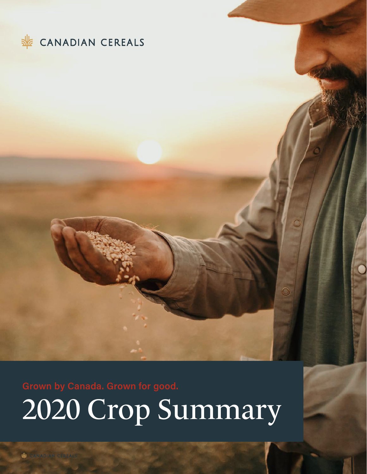

2020 Crop Summary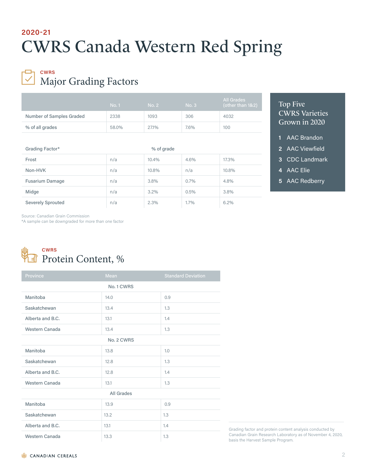# CWRS Canada Western Red Spring **2020-21**

## Major Grading Factors **CWRS**

|                          | No. 1 | No. 2 | No. 3 | All Grades<br>(other than 1&2) |
|--------------------------|-------|-------|-------|--------------------------------|
| Number of Samples Graded | 2338  | 1093  | 306   | 4032                           |
| % of all grades          | 58.0% | 27.1% | 7.6%  | 100                            |

| Grading Factor*        | % of grade |       |      |       |
|------------------------|------------|-------|------|-------|
| Frost                  | n/a        | 10.4% | 4.6% | 17.3% |
| Non-HVK                | n/a        | 10.8% | n/a  | 10.8% |
| <b>Fusarium Damage</b> | n/a        | 3.8%  | 0.7% | 4.8%  |
| Midge                  | n/a        | 3.2%  | 0.5% | 3.8%  |
| Severely Sprouted      | n/a        | 2.3%  | 1.7% | 6.2%  |

## Top Five CWRS Varieties Grown in 2020

- **1** AAC Brandon
- **2** AAC Viewfield
- **3** CDC Landmark
- **4** AAC Elie
- **5** AAC Redberry

Source: Canadian Grain Commission

\*A sample can be downgraded for more than one factor

## Protein Content, % **CWRS**

| Province         | <b>Mean</b> | <b>Standard Deviation</b> |  |
|------------------|-------------|---------------------------|--|
| No. 1 CWRS       |             |                           |  |
| Manitoba         | 14.0        | 0.9                       |  |
| Saskatchewan     | 13.4        | 1.3                       |  |
| Alberta and B.C. | 13.1        | 1.4                       |  |
| Western Canada   | 13.4        | 1.3                       |  |
| No. 2 CWRS       |             |                           |  |
| Manitoba         | 13.8        | 1.0                       |  |
| Saskatchewan     | 12.8        | 1.3                       |  |
| Alberta and B.C. | 12.8        | 1.4                       |  |
| Western Canada   | 13.1        | 1.3                       |  |
| All Grades       |             |                           |  |
| Manitoba         | 13.9        | 0.9                       |  |
| Saskatchewan     | 13.2        | 1.3                       |  |
| Alberta and B.C. | 13.1        | 1.4                       |  |
| Western Canada   | 13.3        | 1.3                       |  |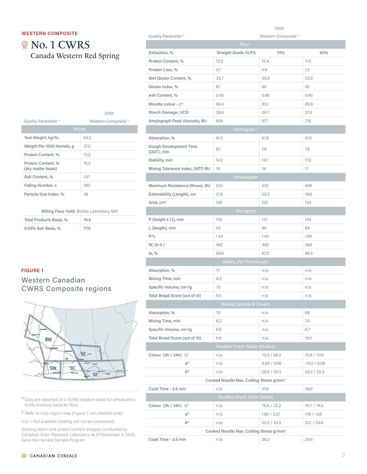#### **WESTERN COMPOSITE**

# **@ No. 1 CWRS** Canada Western Red Spring

|                                          | 2020                           |
|------------------------------------------|--------------------------------|
| Quality Parameter <sup>a</sup>           | Western Composite <sup>b</sup> |
| Wheat                                    |                                |
| Test Weight, kg/hL                       | 83.2                           |
| Weight Per 1000 Kernels, g               | 37.0                           |
| Protein Content, %                       | 13.2                           |
| Protein Content, %<br>(dry matter basis) | 15.3                           |
| Ash Content, %                           | 1.51                           |
| Falling Number, s                        | 392                            |
| Particle Size Index, %                   | 48                             |

#### Milling Flour Yield Bühler Laboratory Mill

| Total Products Basis, % | 74.5 |
|-------------------------|------|
| 0.50% Ash Basis, %      | 77.0 |

| Quality Parameter <sup>a</sup><br>Western Composite <sup>b</sup> |                                                     |             |                |  |  |
|------------------------------------------------------------------|-----------------------------------------------------|-------------|----------------|--|--|
|                                                                  | Flour <sup>c</sup>                                  |             |                |  |  |
| Extraction, %                                                    | Straight Grade 74.5%                                | 74%         | 60%            |  |  |
| Protein Content, %                                               | 12.5                                                | 12.4        | 11.9           |  |  |
| Protein Loss, %                                                  | 0.7                                                 | 0.8         | 1.3            |  |  |
| Wet Gluten Content, %                                            | 35.7                                                | 35.9        | 33.9           |  |  |
| Gluten Index, %                                                  | 87                                                  | 90          | 92             |  |  |
| Ash Content, %                                                   | 0.45                                                | 0.46        | 0.40           |  |  |
| Minolta colour - L*                                              | 85.4                                                | 85.1        | 85.9           |  |  |
| Starch Damage, UCD                                               | 26.6                                                | 26.7        | 27.0           |  |  |
| Amylograph Peak Viscosity, BU                                    | 659                                                 | 677         | 716            |  |  |
|                                                                  | Farinogram <sup>c</sup>                             |             |                |  |  |
| Absorption, %                                                    | 67.2                                                | 67.8        | 67.0           |  |  |
| Dough Development Time<br>(DDT), min                             | 8.1                                                 | 7.9         | 7.8            |  |  |
| Stability, min                                                   | 14.2                                                | 14.1        | 17.2           |  |  |
| Mixing Tolerance Index, (MTI) BU                                 | 19                                                  | 19          | 17             |  |  |
|                                                                  | Extensogram                                         |             |                |  |  |
| Maximum Resistance (Rmax), BU                                    | 534                                                 | 532         | 569            |  |  |
| Extensibility (Length), cm                                       | 21.8                                                | 20.3        | 19.8           |  |  |
| Area, cm <sup>2</sup>                                            | 146                                                 | 132         | 144            |  |  |
|                                                                  | Alveogram                                           |             |                |  |  |
| P (height x 1.1), mm                                             | 133                                                 | 137         | 144            |  |  |
| L (length), mm                                                   | 93                                                  | 96          | 85             |  |  |
| P/L                                                              | 1.43                                                | 1.43        | 1.69           |  |  |
| W, 10-4 J                                                        | 462                                                 | 490         | 466            |  |  |
| le, %                                                            | 66.8                                                | 67.2        | 66.5           |  |  |
|                                                                  | <b>Baking (No Time Dough)</b>                       |             |                |  |  |
| Absorption, %                                                    | 71                                                  | n/a         | n/a            |  |  |
| Mixing Time, min                                                 | 6.3                                                 | n/a         | n/a            |  |  |
| Specific Volume, cm <sup>3</sup> /g                              | 7.0                                                 | n/a         | n/a            |  |  |
| Total Bread Score (out of 10)                                    | 9.4                                                 | n/a         | n/a            |  |  |
|                                                                  | <b>Baking (Sponge &amp; Dough)</b>                  |             |                |  |  |
| Absorption, %                                                    | 70                                                  | n/a         | 68             |  |  |
| Mixing Time, min                                                 | 8.2                                                 | n/a         | 7.5            |  |  |
| Specific Volume, cm <sup>3</sup> /g                              | 6.6                                                 | n/a         | 6.7            |  |  |
| Total Bread Score (out of 10)                                    | 9.9                                                 | n/a         | 10.0           |  |  |
|                                                                  | Noodles (Fresh Yellow Alkaline)                     |             |                |  |  |
| Colour (3h / 24h) L*                                             | n/a                                                 | 73.5 / 68.2 | 75.8 / 70.6    |  |  |
| $a^*$                                                            | n/a                                                 | 0.20 / 0.96 | $-0.13 / 0.58$ |  |  |
| $b^*$                                                            | n/a                                                 | 26.5 / 25.3 | 26.2 / 25.3    |  |  |
| Cooked Noodle Max. Cutting Stress g/mm <sup>2</sup>              |                                                     |             |                |  |  |
| Cook Time - 3.5 min                                              | n/a                                                 | 41.8        | 39.0           |  |  |
|                                                                  | Noodles (Fresh White Salted)                        |             |                |  |  |
| Colour (3h / 24h) L*                                             | n/a                                                 | 75.5 / 72.2 | 76.7 / 74.0    |  |  |
| $a^*$                                                            | n/a                                                 | 1.60 / 2.07 | 1.18 / 1.56    |  |  |
| $b^*$                                                            | n/a                                                 | 25.2 / 24.5 | 25.1 / 24.6    |  |  |
|                                                                  | Cooked Noodle Max. Cutting Stress g/mm <sup>2</sup> |             |                |  |  |
| Cook Time - 3.5 min                                              | n/a                                                 | 26.2        | 24.6           |  |  |

2020

### **FIGURE 1**

## Western Canadian CWRS Composite regions



<sup>a</sup> Data are reported on a 13.5% moisture basis for wheat and a 14.0% moisture basis for flour.

b Refer to crop region map (Figure 1, non-shaded area).

n/a = Not available (testing will not be conducted).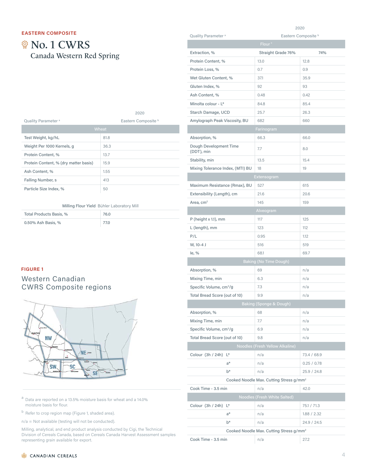#### **EASTERN COMPOSITE**

# **@ No. 1 CWRS** Canada Western Red Spring

|                                       | 2020                           |
|---------------------------------------|--------------------------------|
| Quality Parameter <sup>a</sup>        | Eastern Composite <sup>b</sup> |
|                                       | Wheat                          |
| Test Weight, kg/hL                    | 81.8                           |
| Weight Per 1000 Kernels, g            | 36.3                           |
| Protein Content, %                    | 13.7                           |
| Protein Content, % (dry matter basis) | 15.9                           |
| Ash Content, %                        | 1.55                           |
| Falling Number, s                     | 413                            |
| Particle Size Index, %                | 50                             |

#### Milling Flour Yield Bühler Laboratory Mill

| Total Products Basis, % | 76.0 |
|-------------------------|------|
| 0.50% Ash Basis, %      | 77.0 |

#### **FIGURE 1**

#### Western Canadian CWRS Composite regions



 $a$  Data are reported on a 13.5% moisture basis for wheat and a 14.0% moisture basis for flour.

b Refer to crop region map (Figure 1, shaded area).

n/a = Not available (testing will not be conducted).

|                                      | 2020                                                |             |  |
|--------------------------------------|-----------------------------------------------------|-------------|--|
| Quality Parameter <sup>a</sup>       | Eastern Composite <sup>b</sup>                      |             |  |
|                                      | Flour <sup>c</sup>                                  |             |  |
| Extraction, %                        | Straight Grade 76%                                  | 74%         |  |
| Protein Content, %                   | 13.0                                                | 12.8        |  |
| Protein Loss, %                      | 0.7                                                 | 0.9         |  |
| Wet Gluten Content, %                | 37.1                                                | 35.9        |  |
| Gluten Index, %                      | 92                                                  | 93          |  |
| Ash Content, %                       | 0.48                                                | 0.42        |  |
| Minolta colour - L*                  | 84.8                                                | 85.4        |  |
| Starch Damage, UCD                   | 25.7                                                | 26.3        |  |
| Amylograph Peak Viscosity, BU        | 682                                                 | 660         |  |
|                                      | Farinogram                                          |             |  |
| Absorption, %                        | 66.3                                                | 66.0        |  |
| Dough Development Time<br>(DDT), min | 7.7                                                 | 8.0         |  |
| Stability, min                       | 13.5                                                | 15.4        |  |
| Mixing Tolerance Index, (MTI) BU     | 18                                                  | 19          |  |
|                                      | Extensogram                                         |             |  |
| Maximum Resistance (Rmax), BU        | 527                                                 | 615         |  |
| Extensibility (Length), cm           | 21.6                                                | 20.6        |  |
| Area, cm <sup>2</sup>                | 145                                                 | 159         |  |
|                                      | Alveogram                                           |             |  |
| P (height x 1.1), mm                 | 117                                                 | 125         |  |
| L (length), mm                       | 123                                                 | 112         |  |
| P/L                                  | 0.95                                                | 1.12        |  |
| W, 10-4 J                            | 516                                                 | 519         |  |
| le, %                                | 68.1                                                | 69.7        |  |
|                                      | Baking (No Time Dough)                              |             |  |
| Absorption, %                        | 69                                                  | n/a         |  |
| Mixing Time, min                     | 6.3                                                 | n/a         |  |
| Specific Volume, cm <sup>3</sup> /g  | 7.3                                                 | n/a         |  |
| Total Bread Score (out of 10)        | 9.9                                                 | n/a         |  |
|                                      | <b>Baking (Sponge &amp; Dough)</b>                  |             |  |
| Absorption, %                        | 68                                                  | n/a         |  |
| Mixing Time, min                     | 7.7                                                 | n/a         |  |
| Specific Volume, cm <sup>3</sup> /g  | 6.9                                                 | n/a         |  |
| Total Bread Score (out of 10)        | 9.8                                                 | n/a         |  |
|                                      | Noodles (Fresh Yellow Alkaline)                     |             |  |
| Colour (3h / 24h) L*                 | n/a                                                 | 73.4 / 68.9 |  |
|                                      |                                                     | 0.25 / 0.78 |  |
| $a^*$<br>$b*$                        | n/a                                                 |             |  |
|                                      | n/a                                                 | 25.9 / 24.8 |  |
|                                      | Cooked Noodle Max. Cutting Stress g/mm <sup>2</sup> |             |  |
| Cook Time - 3.5 min                  | n/a                                                 | 42.0        |  |
|                                      | Noodles (Fresh White Salted)                        |             |  |
| Colour (3h / 24h) L*                 | n/a                                                 | 75.1 / 71.3 |  |
| $a^*$                                | n/a                                                 | 1.88 / 2.32 |  |
| $b^*$                                | n/a                                                 | 24.9 / 24.5 |  |
|                                      | Cooked Noodle Max. Cutting Stress g/mm <sup>2</sup> |             |  |
| Cook Time - 3.5 min                  | n/a                                                 | 27.2        |  |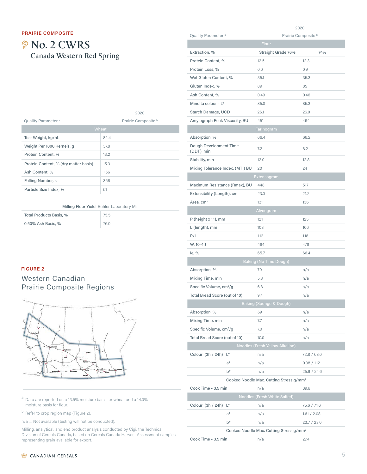#### **PRAIRIE COMPOSITE**

# **@ No. 2 CWRS** Canada Western Red Spring

|                                       | 2020                |
|---------------------------------------|---------------------|
| Quality Parameter <sup>a</sup>        | Prairie Composite b |
|                                       | Wheat               |
| Test Weight, kg/hL                    | 82.4                |
| Weight Per 1000 Kernels, g            | 37.8                |
| Protein Content, %                    | 13.2                |
| Protein Content, % (dry matter basis) | 15.3                |
| Ash Content, %                        | 1.56                |
| Falling Number, s                     | 368                 |
| Particle Size Index, %                | 51                  |

#### Milling Flour Yield Bühler Laboratory Mill

| Total Products Basis, % | 75.5 |
|-------------------------|------|
| 0.50% Ash Basis, %      | 76.0 |

#### **FIGURE 2**

### Western Canadian Prairie Composite Regions



 $a$  Data are reported on a 13.5% moisture basis for wheat and a 14.0% moisture basis for flour.

<sup>b</sup> Refer to crop region map (Figure 2).

n/a = Not available (testing will not be conducted).

|                                      | 2020                                                |             |  |
|--------------------------------------|-----------------------------------------------------|-------------|--|
| Quality Parameter <sup>a</sup>       | Prairie Composite <sup>b</sup>                      |             |  |
|                                      | <b>Flour</b>                                        |             |  |
| Extraction, %                        | Straight Grade 76%                                  | 74%         |  |
| Protein Content, %                   | 12.5                                                | 12.3        |  |
| Protein Loss, %                      | 0.6                                                 | 0.9         |  |
| Wet Gluten Content, %                | 35.1                                                | 35.3        |  |
| Gluten Index, %                      | 89                                                  | 85          |  |
| Ash Content, %                       | 0.49                                                | 0.46        |  |
| Minolta colour - L*                  | 85.0                                                | 85.3        |  |
| Starch Damage, UCD                   | 26.1                                                | 26.0        |  |
| Amylograph Peak Viscosity, BU        | 451                                                 | 464         |  |
|                                      | <b>Farinogram</b>                                   |             |  |
| Absorption, %                        | 66.4                                                | 66.2        |  |
| Dough Development Time<br>(DDT), min | 7.2                                                 | 8.2         |  |
| Stability, min                       | 12.0                                                | 12.8        |  |
| Mixing Tolerance Index, (MTI) BU     | 20                                                  | 24          |  |
|                                      | Extensogram                                         |             |  |
| Maximum Resistance (Rmax), BU        | 448                                                 | 517         |  |
| Extensibility (Length), cm           | 23.0                                                | 21.2        |  |
| Area, cm <sup>2</sup>                | 131                                                 | 136         |  |
|                                      | Alveogram                                           |             |  |
| $P$ (height x 1.1), mm               | 121                                                 | 125         |  |
| L (length), mm                       | 108                                                 | 106         |  |
| P/L                                  | 1.12                                                | 1.18        |  |
| W, 10-4 J                            | 464                                                 | 478         |  |
| le, %                                | 65.7                                                | 66.4        |  |
|                                      | Baking (No Time Dough)                              |             |  |
|                                      | 70                                                  | n/a         |  |
| Absorption, %                        | 5.8                                                 |             |  |
| Mixing Time, min                     |                                                     | n/a         |  |
| Specific Volume, cm <sup>3</sup> /g  | 6.8                                                 | n/a         |  |
| Total Bread Score (out of 10)        | 9.4                                                 | n/a         |  |
|                                      | <b>Baking (Sponge &amp; Dough)</b>                  |             |  |
| Absorption, %                        | 69                                                  | n/a         |  |
| Mixing Time, min                     | 7.7                                                 | n/a         |  |
| Specific Volume, cm <sup>3</sup> /g  | 7.0                                                 | n/a         |  |
| Total Bread Score (out of 10)        | 10.0                                                | n/a         |  |
|                                      | Noodles (Fresh Yellow Alkaline)                     |             |  |
| Colour (3h / 24h) L*                 | n/a                                                 | 72.8 / 68.0 |  |
| a*                                   | n/a                                                 | 0.38 / 1.12 |  |
| b*                                   | n/a                                                 | 25.6 / 24.6 |  |
|                                      | Cooked Noodle Max. Cutting Stress g/mm <sup>2</sup> |             |  |
| Cook Time - 3.5 min                  | n/a                                                 | 39.6        |  |
|                                      | Noodles (Fresh White Salted)                        |             |  |
| Colour (3h / 24h)<br>Ľ               | n/a                                                 | 75.6 / 71.6 |  |
| a*                                   | n/a                                                 | 1.61 / 2.08 |  |
| $b*$                                 | n/a                                                 | 23.7 / 23.0 |  |
|                                      | Cooked Noodle Max. Cutting Stress g/mm <sup>2</sup> |             |  |
| Cook Time - 3.5 min                  | n/a                                                 | 27.4        |  |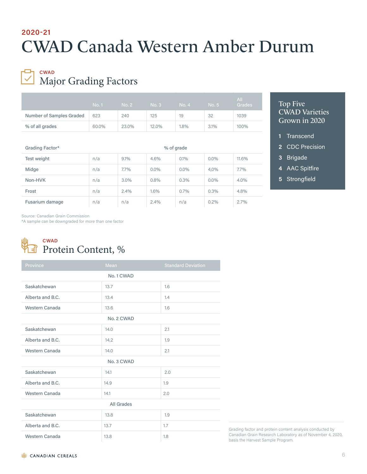# CWAD Canada Western Amber Durum **2020-21**

## Major Grading Factors **CWAD**

|                          | <b>No. 1</b> | No. 2 <sub>1</sub> | No. 3 | No. 4 | No. 5 | All<br>Grades |
|--------------------------|--------------|--------------------|-------|-------|-------|---------------|
| Number of Samples Graded | 623          | 240                | 125   | 19    | 32    | 1039          |
| % of all grades          | 60,0%        | 23.0%              | 12.0% | 1.8%  | 3.1%  | 100%          |

| Grading Factor* | % of grade |         |         |         |         |         |
|-----------------|------------|---------|---------|---------|---------|---------|
| Test weight     | n/a        | 9.1%    | 4.6%    | 0.1%    | $0.0\%$ | 11.6%   |
| Midge           | n/a        | $7.7\%$ | $0.0\%$ | $0.0\%$ | 4,0%    | $7.7\%$ |
| Non-HVK         | n/a        | 3.0%    | 0.8%    | 0.3%    | $0.0\%$ | 4.0%    |
| Frost           | n/a        | 2.4%    | 1.6%    | $0.7\%$ | 0.3%    | 4.8%    |
| Fusarium damage | n/a        | n/a     | 2.4%    | n/a     | 0.2%    | 2.7%    |

### Top Five CWAD Varieties Grown in 2020

- **1** Transcend
- **2** CDC Precision
- **3** Brigade
- **4** AAC Spitfire
- **5** Strongfield

Source: Canadian Grain Commission

\*A sample can be downgraded for more than one factor



| Province          | <b>Mean</b> | <b>Standard Deviation</b> |  |
|-------------------|-------------|---------------------------|--|
|                   | No. 1 CWAD  |                           |  |
| Saskatchewan      | 13.7        | 1.6                       |  |
| Alberta and B.C.  | 13.4        | 1.4                       |  |
| Western Canada    | 13.6        | 1.6                       |  |
| No. 2 CWAD        |             |                           |  |
| Saskatchewan      | 14.0        | 2.1                       |  |
| Alberta and B.C.  | 14.2        | 1.9                       |  |
| Western Canada    | 14.0        | 2.1                       |  |
| No. 3 CWAD        |             |                           |  |
| Saskatchewan      | 14.1        | 2.0                       |  |
| Alberta and B.C.  | 14.9        | 1.9                       |  |
| Western Canada    | 14.1        | 2.0                       |  |
| <b>All Grades</b> |             |                           |  |
| Saskatchewan      | 13.8        | 1.9                       |  |
| Alberta and B.C.  | 13.7        | 1.7                       |  |
| Western Canada    | 13.8        | 1.8                       |  |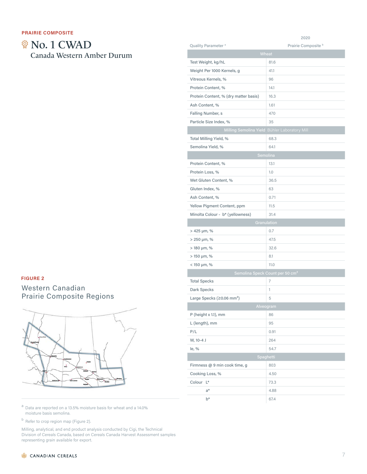# **@ No. 1 CWAD** Canada Western Amber Durum

### **FIGURE 2**

## Western Canadian Prairie Composite Regions



 $a$  Data are reported on a 13.5% moisture basis for wheat and a 14.0% moisture basis semolina.

<sup>b</sup> Refer to crop region map (Figure 2).

|                                              | 2020                                          |
|----------------------------------------------|-----------------------------------------------|
| Quality Parameter <sup>a</sup>               | Prairie Composite b                           |
|                                              | Wheat                                         |
| Test Weight, kg/hL                           | 81.6                                          |
| Weight Per 1000 Kernels, g                   | 41.1                                          |
| Vitreous Kernels, %                          | 96                                            |
| Protein Content, %                           | 14.1                                          |
| Protein Content, % (dry matter basis)        | 16.3                                          |
| Ash Content, %                               | 1.61                                          |
| Falling Number, s                            | 470                                           |
| Particle Size Index, %                       | 35                                            |
|                                              | Milling Semolina Yield Bühler Laboratory Mill |
| Total Milling Yield, %                       | 68.3                                          |
| Semolina Yield, %                            | 64.1                                          |
|                                              | Semolina                                      |
| Protein Content, %                           | 13.1                                          |
| Protein Loss, %                              | 1.0                                           |
| Wet Gluten Content, %                        | 36.5                                          |
| Gluten Index, %                              | 63                                            |
| Ash Content, %                               | 0.71                                          |
| Yellow Pigment Content, ppm                  | 11.5                                          |
| Minolta Colour - b* (yellowness)             | 31.4                                          |
|                                              | Granulation                                   |
| > 425 µm, %                                  | 0.7                                           |
| > 250 µm, %                                  | 47.5                                          |
| > 180 µm, %                                  | 32.6                                          |
| > 150 µm, %                                  | 8.1                                           |
| < 150 µm, %                                  | 11.0                                          |
|                                              | Semolina Speck Count per 50 cm <sup>2</sup>   |
| <b>Total Specks</b>                          | 7                                             |
| Dark Specks                                  | 1                                             |
| Large Specks ( $\geq$ 0.06 mm <sup>2</sup> ) | 5                                             |
|                                              | Alveogram                                     |
| P (height x 1.1), mm                         | 86                                            |
| L (length), mm                               | 95                                            |
| P/L                                          | 0.91                                          |
| W, 10-4 J                                    | 264                                           |
| le, %                                        | 54.7                                          |
|                                              | Spaghetti                                     |
| Firmness @ 9 min cook time, g                | 803                                           |
| Cooking Loss, %                              | 4.50                                          |
| Colour <sub>L*</sub>                         | 73.3                                          |
| $a^*$                                        | 4.88                                          |
| b*                                           | 67.4                                          |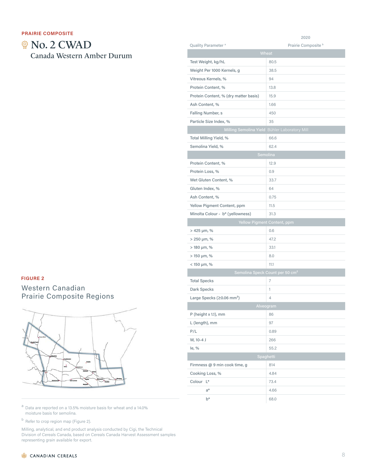#### **PRAIRIE COMPOSITE**

**@ No. 2 CWAD** Canada Western Amber Durum

## **FIGURE 2**

## Western Canadian Prairie Composite Regions



 $a$  Data are reported on a 13.5% moisture basis for wheat and a 14.0% moisture basis for semolina.

<sup>b</sup> Refer to crop region map (Figure 2).

Milling, analytical, and end product analysis conducted by Cigi, the Technical Division of Cereals Canada, based on Cereals Canada Harvest Assessment samples representing grain available for export.

| Quality Parameter <sup>a</sup>               | Prairie Composite b                           |  |  |
|----------------------------------------------|-----------------------------------------------|--|--|
|                                              | Wheat                                         |  |  |
| Test Weight, kg/hL                           | 80.5                                          |  |  |
| Weight Per 1000 Kernels, g                   | 38.5                                          |  |  |
| Vitreous Kernels, %                          | 94                                            |  |  |
| Protein Content, %                           | 13.8                                          |  |  |
| Protein Content, % (dry matter basis)        | 15.9                                          |  |  |
| Ash Content, %                               | 1.66                                          |  |  |
| Falling Number, s                            | 450                                           |  |  |
| Particle Size Index, %                       | 35                                            |  |  |
|                                              | Milling Semolina Yield Bühler Laboratory Mill |  |  |
| Total Milling Yield, %                       | 66.6                                          |  |  |
| Semolina Yield, %                            | 62.4                                          |  |  |
|                                              | Semolina                                      |  |  |
| Protein Content, %                           | 12.9                                          |  |  |
| Protein Loss, %                              | 0.9                                           |  |  |
| Wet Gluten Content, %                        | 33.7                                          |  |  |
| Gluten Index, %                              | 64                                            |  |  |
| Ash Content, %                               | 0.75                                          |  |  |
| Yellow Pigment Content, ppm                  | 11.5                                          |  |  |
| Minolta Colour - b* (yellowness)             | 31.3                                          |  |  |
|                                              | Yellow Pigment Content, ppm                   |  |  |
| $> 425 \,\mu m, \%$                          | 0.6                                           |  |  |
| > 250 µm, %                                  | 47.2                                          |  |  |
| $> 180 \mu m$ , %                            | 33.1                                          |  |  |
| > 150 µm, %                                  | 8.0                                           |  |  |
| $< 150 \mu m$ , %                            | 11.1                                          |  |  |
|                                              | Semolina Speck Count per 50 cm <sup>2</sup>   |  |  |
| <b>Total Specks</b>                          | 7                                             |  |  |
| Dark Specks                                  | 1                                             |  |  |
| Large Specks ( $\geq$ 0.06 mm <sup>2</sup> ) | 4                                             |  |  |
|                                              | Alveogram                                     |  |  |
| P (height x 1.1), mm                         | 86                                            |  |  |
| L (length), mm                               | 97                                            |  |  |
| P/L                                          | 0.89                                          |  |  |
| W, 10-4 J                                    | 266                                           |  |  |
| le, %                                        | 55.2                                          |  |  |
| Spaghetti                                    |                                               |  |  |
| Firmness @ 9 min cook time, g                | 814                                           |  |  |
| Cooking Loss, %                              | 4.84                                          |  |  |
| Colour <sub>L*</sub>                         | 73.4                                          |  |  |
| $a^*$                                        | 4.66                                          |  |  |
| b*                                           | 68.0                                          |  |  |

2020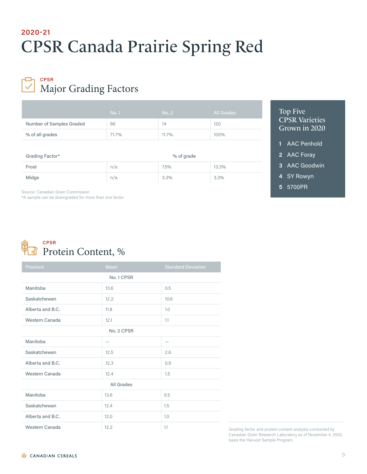# CPSR Canada Prairie Spring Red **2020-21**

## Major Grading Factors **CPSR**

|                          | <b>No.1</b> | No. 2 | All Grades |
|--------------------------|-------------|-------|------------|
| Number of Samples Graded | 86          | 14    | 120        |
| % of all grades          | 71.7%       | 11.7% | 100%       |

| Grading Factor* | % of grade |      |         |
|-----------------|------------|------|---------|
| Frost           | n/a        | 7.5% | 13.3%   |
| Midge           | n/a        | 3.3% | $3.3\%$ |

### Top Five CPSR Varieties Grown in 2020

- **1** AAC Penhold
- **2** AAC Foray
- **3** AAC Goodwin
- **4** SY Rowyn
- **5** 5700PR

Source: Canadian Grain Commission

\*A sample can be downgraded for more than one factor



| Province         | Mean       | <b>Standard Deviation</b> |  |  |
|------------------|------------|---------------------------|--|--|
|                  | No. 1 CPSR |                           |  |  |
| Manitoba         | 13.6       | 0.5                       |  |  |
| Saskatchewan     | 12.2       | 10.6                      |  |  |
| Alberta and B.C. | 11.8       | 1.0                       |  |  |
| Western Canada   | 12.1       | 1.1                       |  |  |
| No. 2 CPSR       |            |                           |  |  |
| Manitoba         |            | $\overline{\phantom{0}}$  |  |  |
| Saskatchewan     | 12.5       | 2.6                       |  |  |
| Alberta and B.C. | 12.3       | 0.9                       |  |  |
| Western Canada   | 12.4       | 1.5                       |  |  |
| All Grades       |            |                           |  |  |
| Manitoba         | 13.6       | 0.5                       |  |  |
| Saskatchewan     | 12.4       | 1.5                       |  |  |
| Alberta and B.C. | 12.0       | 1.0                       |  |  |
| Western Canada   | 12.2       | 1.1                       |  |  |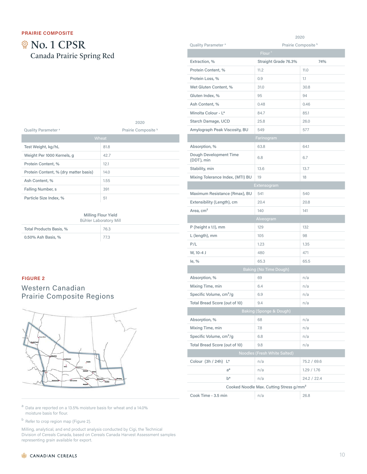# **@ No. 1 CPSR** Canada Prairie Spring Red

|                                       | 2020                |
|---------------------------------------|---------------------|
| Quality Parameter <sup>a</sup>        | Prairie Composite b |
|                                       | Wheat               |
| Test Weight, kg/hL                    | 81.8                |
| Weight Per 1000 Kernels, g            | 42.7                |
| Protein Content, %                    | 12.1                |
| Protein Content, % (dry matter basis) | 14.0                |
| Ash Content, %                        | 1.55                |
| Falling Number, s                     | 391                 |
| Particle Size Index, %                | 51                  |

I

I

I

#### Milling Flour Yield

| Bühler Laboratory Mill  |      |  |
|-------------------------|------|--|
| Total Products Basis, % | 76.3 |  |
| 0.50% Ash Basis, %      | 77.3 |  |

#### **FIGURE 2**

## Western Canadian Prairie Composite Regions



| Quality Parameter <sup>a</sup>       | Prairie Composite <sup>b</sup>                      |             |  |  |
|--------------------------------------|-----------------------------------------------------|-------------|--|--|
|                                      | Flour <sup>c</sup>                                  |             |  |  |
| Extraction, %                        | Straight Grade 76.3%                                | 74%         |  |  |
| Protein Content, %                   | 11.2                                                | 11.0        |  |  |
| Protein Loss, %                      | 0.9                                                 | 1.1         |  |  |
| Wet Gluten Content, %                | 31.0                                                | 30.8        |  |  |
| Gluten Index, %                      | 95                                                  | 94          |  |  |
| Ash Content, %                       | 0.48                                                | 0.46        |  |  |
| Minolta Colour - L*                  | 84.7                                                | 85.1        |  |  |
| Starch Damage, UCD                   | 25.8                                                | 26.0        |  |  |
| Amylograph Peak Viscosity, BU        | 549                                                 | 577         |  |  |
|                                      | Farinogram                                          |             |  |  |
| Absorption, %                        | 63.8                                                | 64.1        |  |  |
| Dough Development Time<br>(DDT), min | 6.8                                                 | 6.7         |  |  |
| Stability, min                       | 13.6                                                | 13.7        |  |  |
| Mixing Tolerance Index, (MTI) BU     | 19                                                  | 18          |  |  |
|                                      | Extensogram                                         |             |  |  |
| Maximum Resistance (Rmax), BU        | 541                                                 | 540         |  |  |
| Extensibility (Length), cm           | 20.4                                                | 20.8        |  |  |
| Area, cm <sup>2</sup>                | 140                                                 | 141         |  |  |
| Alveogram                            |                                                     |             |  |  |
| P (height x 1.1), mm                 | 129                                                 | 132         |  |  |
| L (length), mm                       | 105                                                 | 98          |  |  |
| P/L                                  | 1.23                                                | 1.35        |  |  |
| W, 10-4 J                            | 480                                                 | 471         |  |  |
| le, %                                | 65.3                                                | 65.5        |  |  |
|                                      | <b>Baking (No Time Dough)</b>                       |             |  |  |
| Absorption, %                        | 69                                                  | n/a         |  |  |
| Mixing Time, min                     | 6.4                                                 | n/a         |  |  |
| Specific Volume, cm <sup>3</sup> /g  | 6.9                                                 | n/a         |  |  |
| Total Bread Score (out of 10)        | 9.4                                                 | n/a         |  |  |
|                                      | Baking (Sponge & Dough)                             |             |  |  |
| Absorption, %                        | 68                                                  | n/a         |  |  |
| Mixing Time, min                     | 7.8                                                 | n/a         |  |  |
| Specific Volume, cm <sup>3</sup> /g  | 6.8                                                 | n/a         |  |  |
| Total Bread Score (out of 10)        | 9.8                                                 | n/a         |  |  |
|                                      | Noodles (Fresh White Salted)                        |             |  |  |
| Colour (3h / 24h) L*                 | n/a                                                 | 75.2 / 69.6 |  |  |
| $a^*$                                | n/a                                                 | 1.29 / 1.76 |  |  |
| $b^*$                                | n/a                                                 | 24.2 / 22.4 |  |  |
|                                      | Cooked Noodle Max. Cutting Stress g/mm <sup>2</sup> |             |  |  |
| Cook Time - 3.5 min                  | n/a                                                 | 26.8        |  |  |

2020

 $a$  Data are reported on a 13.5% moisture basis for wheat and a 14.0% moisture basis for flour.

<sup>b</sup> Refer to crop region map (Figure 2).